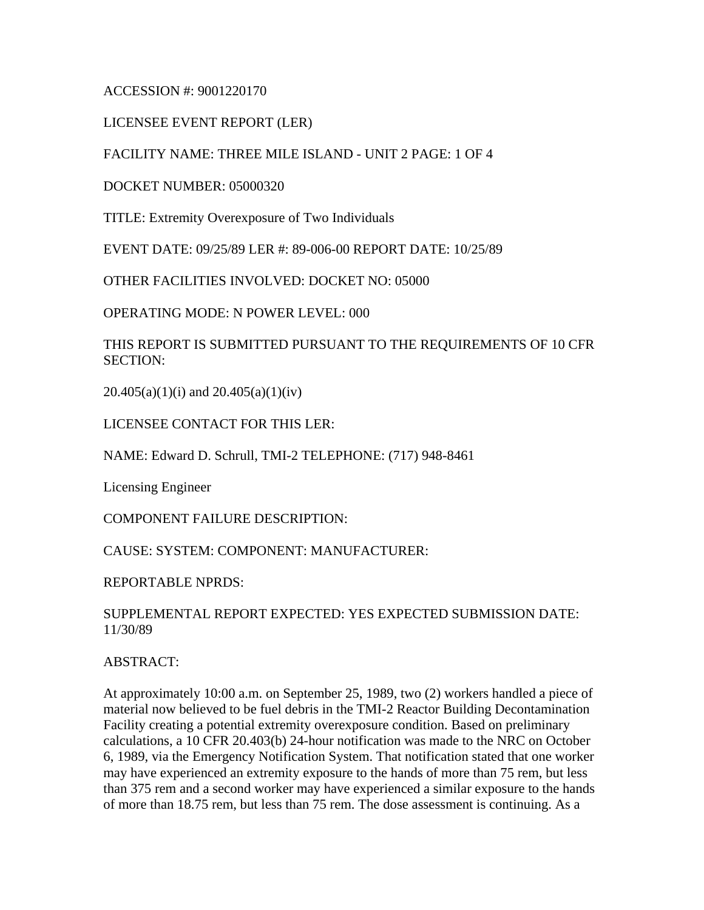ACCESSION #: 9001220170

LICENSEE EVENT REPORT (LER)

FACILITY NAME: THREE MILE ISLAND - UNIT 2 PAGE: 1 OF 4

DOCKET NUMBER: 05000320

TITLE: Extremity Overexposure of Two Individuals

EVENT DATE: 09/25/89 LER #: 89-006-00 REPORT DATE: 10/25/89

OTHER FACILITIES INVOLVED: DOCKET NO: 05000

OPERATING MODE: N POWER LEVEL: 000

THIS REPORT IS SUBMITTED PURSUANT TO THE REQUIREMENTS OF 10 CFR SECTION:

 $20.405(a)(1)(i)$  and  $20.405(a)(1)(iv)$ 

LICENSEE CONTACT FOR THIS LER:

NAME: Edward D. Schrull, TMI-2 TELEPHONE: (717) 948-8461

Licensing Engineer

COMPONENT FAILURE DESCRIPTION:

CAUSE: SYSTEM: COMPONENT: MANUFACTURER:

REPORTABLE NPRDS:

## SUPPLEMENTAL REPORT EXPECTED: YES EXPECTED SUBMISSION DATE: 11/30/89

ABSTRACT:

At approximately 10:00 a.m. on September 25, 1989, two (2) workers handled a piece of material now believed to be fuel debris in the TMI-2 Reactor Building Decontamination Facility creating a potential extremity overexposure condition. Based on preliminary calculations, a 10 CFR 20.403(b) 24-hour notification was made to the NRC on October 6, 1989, via the Emergency Notification System. That notification stated that one worker may have experienced an extremity exposure to the hands of more than 75 rem, but less than 375 rem and a second worker may have experienced a similar exposure to the hands of more than 18.75 rem, but less than 75 rem. The dose assessment is continuing. As a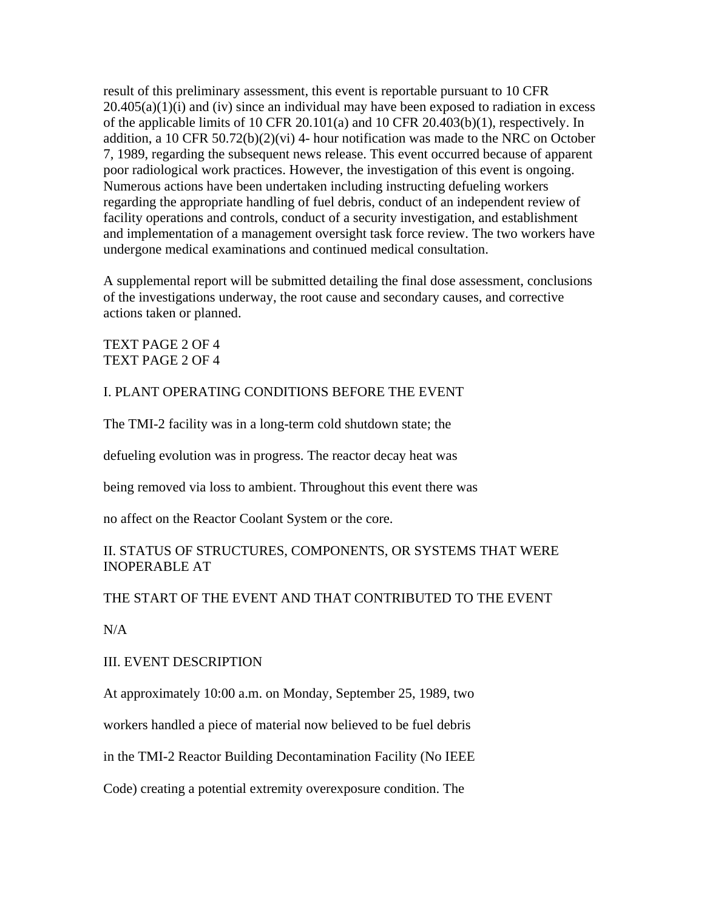result of this preliminary assessment, this event is reportable pursuant to 10 CFR  $20.405(a)(1)(i)$  and (iv) since an individual may have been exposed to radiation in excess of the applicable limits of 10 CFR 20.101(a) and 10 CFR 20.403(b)(1), respectively. In addition, a 10 CFR  $50.72(b)(2)(vi)$  4- hour notification was made to the NRC on October 7, 1989, regarding the subsequent news release. This event occurred because of apparent poor radiological work practices. However, the investigation of this event is ongoing. Numerous actions have been undertaken including instructing defueling workers regarding the appropriate handling of fuel debris, conduct of an independent review of facility operations and controls, conduct of a security investigation, and establishment and implementation of a management oversight task force review. The two workers have undergone medical examinations and continued medical consultation.

A supplemental report will be submitted detailing the final dose assessment, conclusions of the investigations underway, the root cause and secondary causes, and corrective actions taken or planned.

### TEXT PAGE 2 OF 4 TEXT PAGE 2 OF 4

## I. PLANT OPERATING CONDITIONS BEFORE THE EVENT

The TMI-2 facility was in a long-term cold shutdown state; the

defueling evolution was in progress. The reactor decay heat was

being removed via loss to ambient. Throughout this event there was

no affect on the Reactor Coolant System or the core.

# II. STATUS OF STRUCTURES, COMPONENTS, OR SYSTEMS THAT WERE INOPERABLE AT

### THE START OF THE EVENT AND THAT CONTRIBUTED TO THE EVENT

 $N/A$ 

### III. EVENT DESCRIPTION

At approximately 10:00 a.m. on Monday, September 25, 1989, two

workers handled a piece of material now believed to be fuel debris

in the TMI-2 Reactor Building Decontamination Facility (No IEEE

Code) creating a potential extremity overexposure condition. The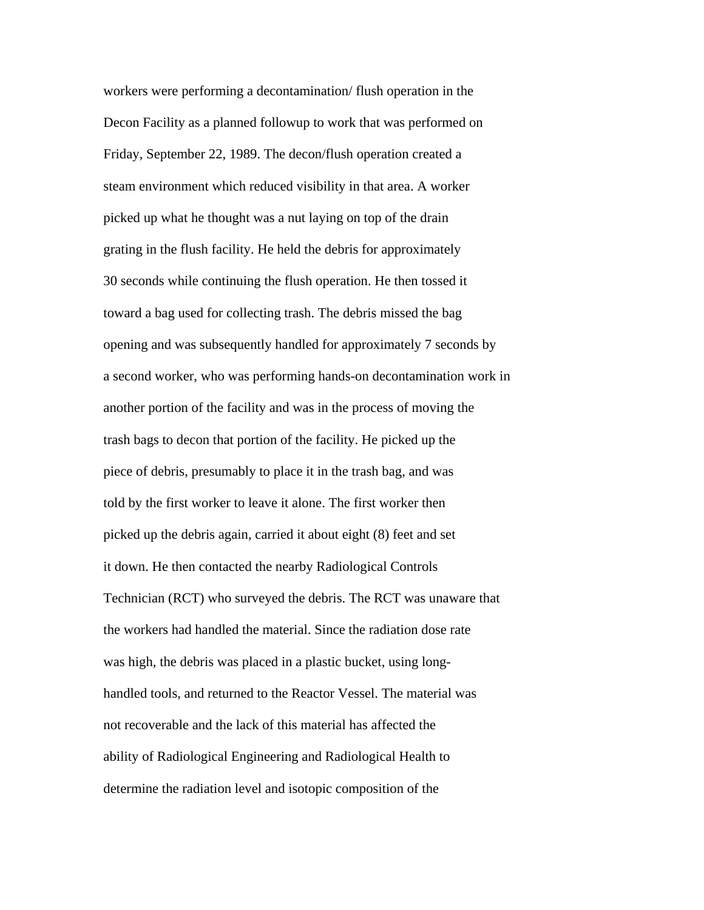workers were performing a decontamination/ flush operation in the Decon Facility as a planned followup to work that was performed on Friday, September 22, 1989. The decon/flush operation created a steam environment which reduced visibility in that area. A worker picked up what he thought was a nut laying on top of the drain grating in the flush facility. He held the debris for approximately 30 seconds while continuing the flush operation. He then tossed it toward a bag used for collecting trash. The debris missed the bag opening and was subsequently handled for approximately 7 seconds by a second worker, who was performing hands-on decontamination work in another portion of the facility and was in the process of moving the trash bags to decon that portion of the facility. He picked up the piece of debris, presumably to place it in the trash bag, and was told by the first worker to leave it alone. The first worker then picked up the debris again, carried it about eight (8) feet and set it down. He then contacted the nearby Radiological Controls Technician (RCT) who surveyed the debris. The RCT was unaware that the workers had handled the material. Since the radiation dose rate was high, the debris was placed in a plastic bucket, using longhandled tools, and returned to the Reactor Vessel. The material was not recoverable and the lack of this material has affected the ability of Radiological Engineering and Radiological Health to determine the radiation level and isotopic composition of the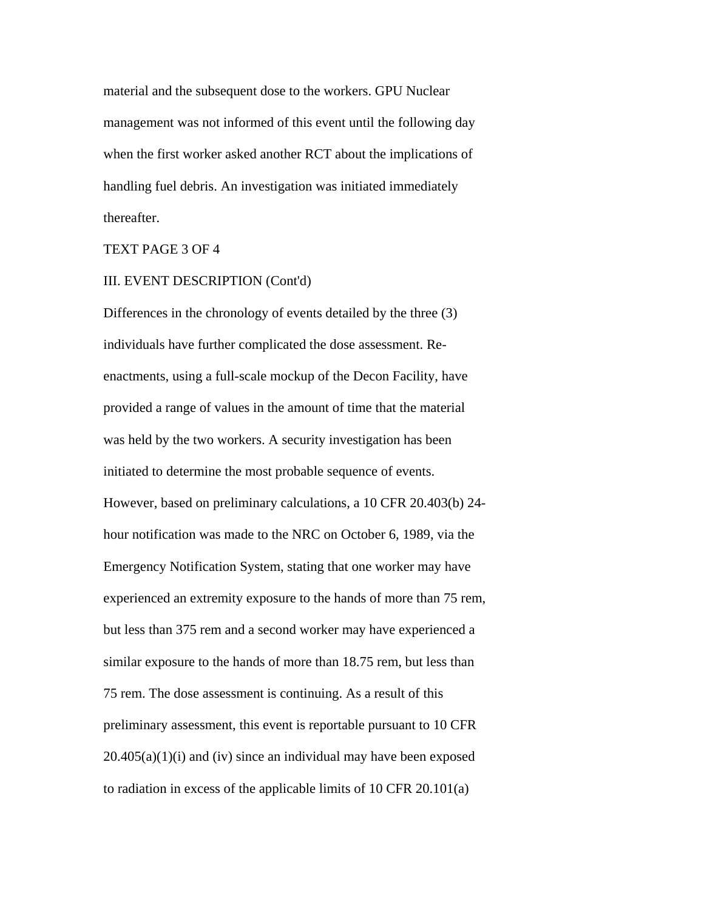material and the subsequent dose to the workers. GPU Nuclear management was not informed of this event until the following day when the first worker asked another RCT about the implications of handling fuel debris. An investigation was initiated immediately thereafter.

### TEXT PAGE 3 OF 4

### III. EVENT DESCRIPTION (Cont'd)

Differences in the chronology of events detailed by the three (3) individuals have further complicated the dose assessment. Reenactments, using a full-scale mockup of the Decon Facility, have provided a range of values in the amount of time that the material was held by the two workers. A security investigation has been initiated to determine the most probable sequence of events. However, based on preliminary calculations, a 10 CFR 20.403(b) 24 hour notification was made to the NRC on October 6, 1989, via the Emergency Notification System, stating that one worker may have experienced an extremity exposure to the hands of more than 75 rem, but less than 375 rem and a second worker may have experienced a similar exposure to the hands of more than 18.75 rem, but less than 75 rem. The dose assessment is continuing. As a result of this preliminary assessment, this event is reportable pursuant to 10 CFR  $20.405(a)(1)(i)$  and (iv) since an individual may have been exposed to radiation in excess of the applicable limits of 10 CFR 20.101(a)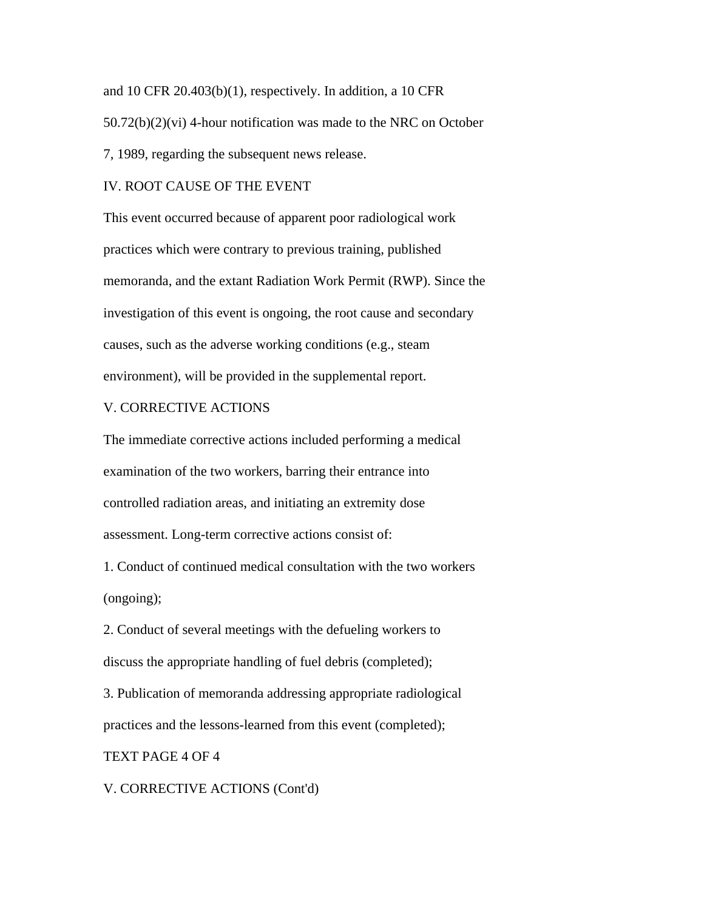and 10 CFR 20.403(b)(1), respectively. In addition, a 10 CFR 50.72(b)(2)(vi) 4-hour notification was made to the NRC on October 7, 1989, regarding the subsequent news release.

#### IV. ROOT CAUSE OF THE EVENT

This event occurred because of apparent poor radiological work practices which were contrary to previous training, published memoranda, and the extant Radiation Work Permit (RWP). Since the investigation of this event is ongoing, the root cause and secondary causes, such as the adverse working conditions (e.g., steam environment), will be provided in the supplemental report.

#### V. CORRECTIVE ACTIONS

The immediate corrective actions included performing a medical examination of the two workers, barring their entrance into controlled radiation areas, and initiating an extremity dose assessment. Long-term corrective actions consist of:

1. Conduct of continued medical consultation with the two workers (ongoing);

2. Conduct of several meetings with the defueling workers to discuss the appropriate handling of fuel debris (completed);

3. Publication of memoranda addressing appropriate radiological practices and the lessons-learned from this event (completed);

#### TEXT PAGE 4 OF 4

V. CORRECTIVE ACTIONS (Cont'd)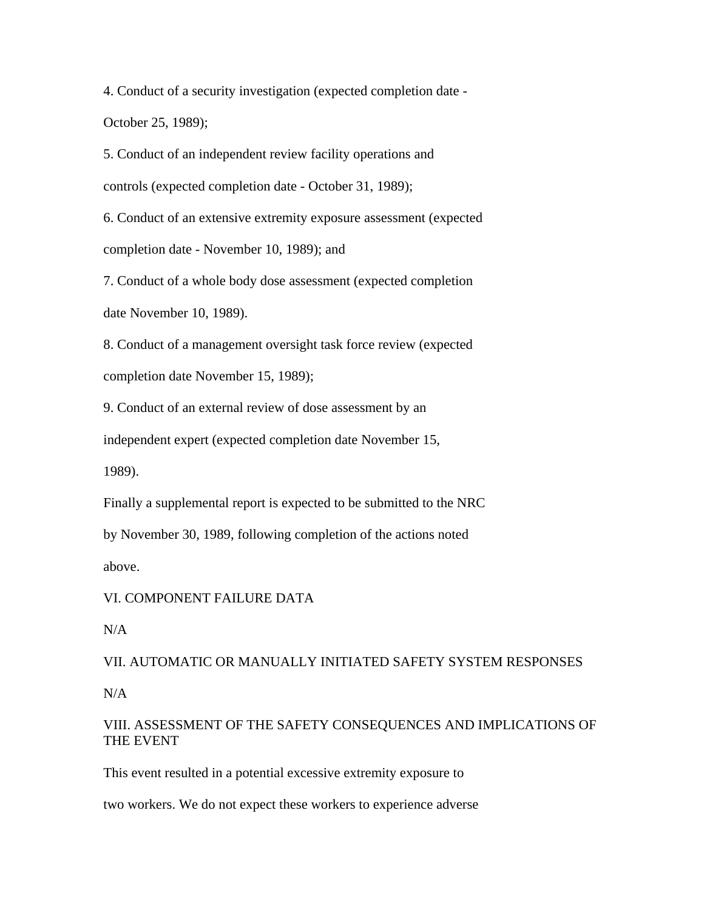4. Conduct of a security investigation (expected completion date - October 25, 1989);

5. Conduct of an independent review facility operations and

controls (expected completion date - October 31, 1989);

6. Conduct of an extensive extremity exposure assessment (expected completion date - November 10, 1989); and

7. Conduct of a whole body dose assessment (expected completion date November 10, 1989).

8. Conduct of a management oversight task force review (expected completion date November 15, 1989);

9. Conduct of an external review of dose assessment by an

independent expert (expected completion date November 15,

1989).

Finally a supplemental report is expected to be submitted to the NRC

by November 30, 1989, following completion of the actions noted

above.

VI. COMPONENT FAILURE DATA

N/A

VII. AUTOMATIC OR MANUALLY INITIATED SAFETY SYSTEM RESPONSES

N/A

# VIII. ASSESSMENT OF THE SAFETY CONSEQUENCES AND IMPLICATIONS OF THE EVENT

This event resulted in a potential excessive extremity exposure to

two workers. We do not expect these workers to experience adverse